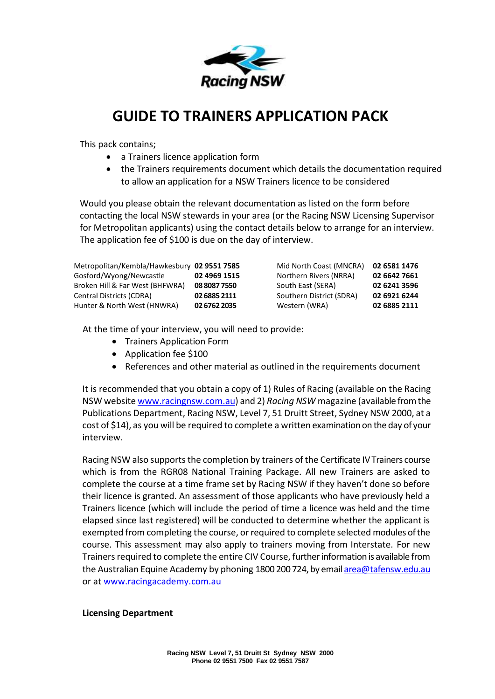

# **GUIDE TO TRAINERS APPLICATION PACK**

This pack contains;

- a Trainers licence application form
- the Trainers requirements document which details the documentation required to allow an application for a NSW Trainers licence to be considered

Would you please obtain the relevant documentation as listed on the form before contacting the local NSW stewards in your area (or the Racing NSW Licensing Supervisor for Metropolitan applicants) using the contact details below to arrange for an interview. The application fee of \$100 is due on the day of interview.

| Metropolitan/Kembla/Hawkesbury 02 9551 7585 |              | Mid North Coast (MNCRA)  | 02 6581 1476 |
|---------------------------------------------|--------------|--------------------------|--------------|
| Gosford/Wyong/Newcastle                     | 02 4969 1515 | Northern Rivers (NRRA)   | 02 6642 7661 |
| Broken Hill & Far West (BHFWRA)             | 08 8087 7550 | South East (SERA)        | 02 6241 3596 |
| Central Districts (CDRA)                    | 02 6885 2111 | Southern District (SDRA) | 02 6921 6244 |
| Hunter & North West (HNWRA)                 | 02 6762 2035 | Western (WRA)            | 02 6885 2111 |

At the time of your interview, you will need to provide:

- Trainers Application Form
- Application fee \$100
- References and other material as outlined in the requirements document

It is recommended that you obtain a copy of 1) Rules of Racing (available on the Racing NSW websit[e www.racingnsw.com.au\)](http://www.racingnsw.com.au/) and 2) *Racing NSW* magazine (available from the Publications Department, Racing NSW, Level 7, 51 Druitt Street, Sydney NSW 2000, at a cost of \$14), as you will be required to complete a written examination on the day of your interview.

Racing NSW also supports the completion by trainers of the Certificate IV Trainers course which is from the RGR08 National Training Package. All new Trainers are asked to complete the course at a time frame set by Racing NSW if they haven't done so before their licence is granted. An assessment of those applicants who have previously held a Trainers licence (which will include the period of time a licence was held and the time elapsed since last registered) will be conducted to determine whether the applicant is exempted from completing the course, or required to complete selected modules of the course. This assessment may also apply to trainers moving from Interstate. For new Trainers required to complete the entire CIV Course, further information is available from the Australian Equine Academy by phoning 1800 200 724, by emai[l area@tafensw.edu.au](mailto:area@tafensw.edu.au) or at [www.racingacademy.com.au](http://www.racingacademy.com.au/)

#### **Licensing Department**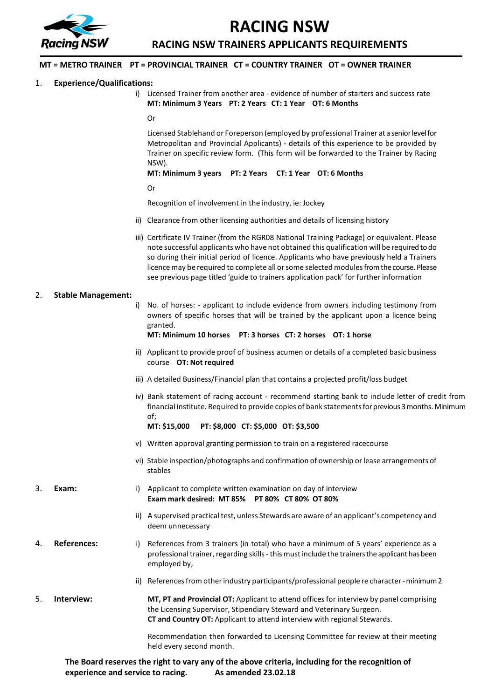

# **RACING NSW**

**RACING NSW TRAINERS APPLICANTS REQUIREMENTS**

#### **MT = METRO TRAINER PT = PROVINCIAL TRAINER CT = COUNTRY TRAINER OT = OWNER TRAINER**

#### 1. **Experience/Qualifications:**

i) Licensed Trainer from another area - evidence of number of starters and success rate **MT: Minimum 3 Years PT: 2 Years CT: 1 Year OT: 6 Months**

```
Or
```
Licensed Stablehand or Foreperson (employed by professional Trainer at a senior level for Metropolitan and Provincial Applicants) - details of this experience to be provided by Trainer on specific review form. (This form will be forwarded to the Trainer by Racing NSW).

**MT: Minimum 3 years PT: 2 Years CT: 1 Year OT: 6 Months**

Or

Recognition of involvement in the industry, ie: Jockey

- ii) Clearance from other licensing authorities and details of licensing history
- iii) Certificate IV Trainer (from the RGR08 National Training Package) or equivalent. Please note successful applicants who have not obtained this qualification will be required to do so during their initial period of licence. Applicants who have previously held a Trainers licence may be required to complete all or some selected modules from the course. Please see previous page titled 'guide to trainers application pack' for further information

#### 2. **Stable Management:**

i) No. of horses: - applicant to include evidence from owners including testimony from owners of specific horses that will be trained by the applicant upon a licence being granted.

**MT: Minimum 10 horses PT: 3 horses CT: 2 horses OT: 1 horse** 

- ii) Applicant to provide proof of business acumen or details of a completed basic business course **OT: Not required**
- iii) A detailed Business/Financial plan that contains a projected profit/loss budget
- iv) Bank statement of racing account recommend starting bank to include letter of credit from financial institute. Required to provide copies of bank statements for previous 3 months. Minimum of;

```
MT: $15,000 PT: $8,000 CT: $5,000 OT: $3,500
```
- v) Written approval granting permission to train on a registered racecourse
- vi) Stable inspection/photographs and confirmation of ownership or lease arrangements of stables
- 3. **Exam:** i) Applicant to complete written examination on day of interview **Exam mark desired: MT 85% PT 80% CT 80% OT 80%**
	- ii) A supervised practical test, unless Stewards are aware of an applicant's competency and deem unnecessary
- 4. **References:** i) References from 3 trainers (in total) who have a minimum of 5 years' experience as a professional trainer, regarding skills - this must include the trainers the applicant has been employed by,
	- ii) References from other industry participants/professional people re character -minimum 2

5. **Interview: MT, PT and Provincial OT:** Applicant to attend offices for interview by panel comprising the Licensing Supervisor, Stipendiary Steward and Veterinary Surgeon. **CT and Country OT:** Applicant to attend interview with regional Stewards.

> Recommendation then forwarded to Licensing Committee for review at their meeting held every second month.

**The Board reserves the right to vary any of the above criteria, including for the recognition of experience and service to racing. As amended 23.02.18**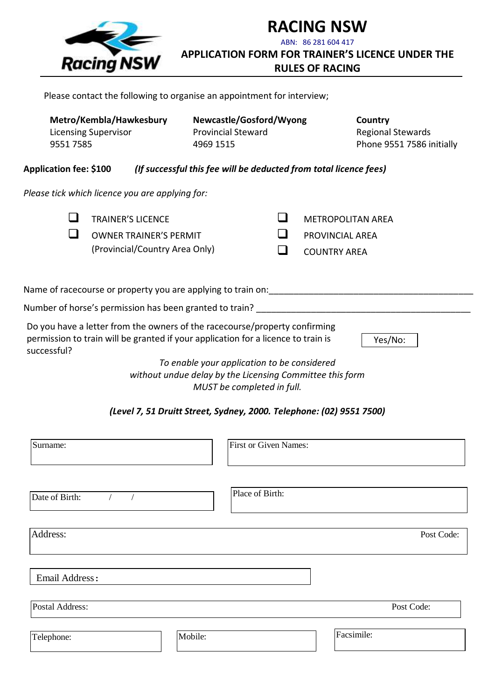

**RACING NSW** ABN: 86 281 604 417 **APPLICATION FORM FOR TRAINER'S LICENCE UNDER THE** 

**RULES OF RACING**

Please contact the following to organise an appointment for interview;

| 95517585                      | Metro/Kembla/Hawkesbury<br><b>Licensing Supervisor</b>                                                                                                          | Newcastle/Gosford/Wyong<br><b>Provincial Steward</b><br>4969 1515                                                                     |                                                                           | Country<br><b>Regional Stewards</b><br>Phone 9551 7586 initially |
|-------------------------------|-----------------------------------------------------------------------------------------------------------------------------------------------------------------|---------------------------------------------------------------------------------------------------------------------------------------|---------------------------------------------------------------------------|------------------------------------------------------------------|
| <b>Application fee: \$100</b> |                                                                                                                                                                 | (If successful this fee will be deducted from total licence fees)                                                                     |                                                                           |                                                                  |
|                               | Please tick which licence you are applying for:                                                                                                                 |                                                                                                                                       |                                                                           |                                                                  |
| ப                             | <b>TRAINER'S LICENCE</b><br><b>OWNER TRAINER'S PERMIT</b><br>(Provincial/Country Area Only)                                                                     |                                                                                                                                       | <b>METROPOLITAN AREA</b><br><b>PROVINCIAL AREA</b><br><b>COUNTRY AREA</b> |                                                                  |
|                               | Name of racecourse or property you are applying to train on:                                                                                                    |                                                                                                                                       |                                                                           |                                                                  |
|                               | Number of horse's permission has been granted to train? _________________________                                                                               |                                                                                                                                       |                                                                           |                                                                  |
| successful?                   | Do you have a letter from the owners of the racecourse/property confirming<br>permission to train will be granted if your application for a licence to train is |                                                                                                                                       |                                                                           | Yes/No:                                                          |
|                               |                                                                                                                                                                 | To enable your application to be considered<br>without undue delay by the Licensing Committee this form<br>MUST be completed in full. |                                                                           |                                                                  |
|                               |                                                                                                                                                                 | (Level 7, 51 Druitt Street, Sydney, 2000. Telephone: (02) 9551 7500)                                                                  |                                                                           |                                                                  |

| Surname:                                   | <b>First or Given Names:</b> |
|--------------------------------------------|------------------------------|
| Date of Birth:<br>$\overline{\phantom{a}}$ | Place of Birth:              |
| Address:                                   | Post Code:                   |
| Email Address:                             |                              |
| Postal Address:                            | Post Code:                   |
| Mobile:<br>Telephone:                      | Facsimile:                   |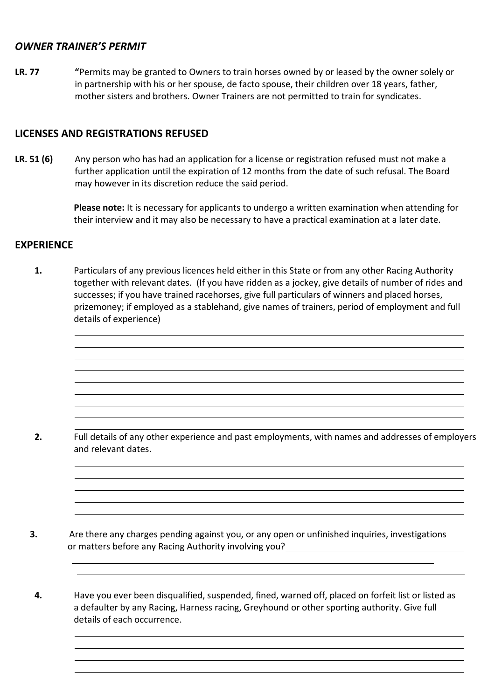## *OWNER TRAINER'S PERMIT*

**LR. 77 "**Permits may be granted to Owners to train horses owned by or leased by the owner solely or in partnership with his or her spouse, de facto spouse, their children over 18 years, father, mother sisters and brothers. Owner Trainers are not permitted to train for syndicates.

## **LICENSES AND REGISTRATIONS REFUSED**

**LR. 51 (6)** Any person who has had an application for a license or registration refused must not make a further application until the expiration of 12 months from the date of such refusal. The Board may however in its discretion reduce the said period.

> **Please note:** It is necessary for applicants to undergo a written examination when attending for their interview and it may also be necessary to have a practical examination at a later date.

# **EXPERIENCE**

**1.** Particulars of any previous licences held either in this State or from any other Racing Authority together with relevant dates. (If you have ridden as a jockey, give details of number of rides and successes; if you have trained racehorses, give full particulars of winners and placed horses, prizemoney; if employed as a stablehand, give names of trainers, period of employment and full details of experience)

**2.** Full details of any other experience and past employments, with names and addresses of employers and relevant dates.

**3.** Are there any charges pending against you, or any open or unfinished inquiries, investigations or matters before any Racing Authority involving you?

**4.** Have you ever been disqualified, suspended, fined, warned off, placed on forfeit list or listed as a defaulter by any Racing, Harness racing, Greyhound or other sporting authority. Give full details of each occurrence.

 $\overline{a}$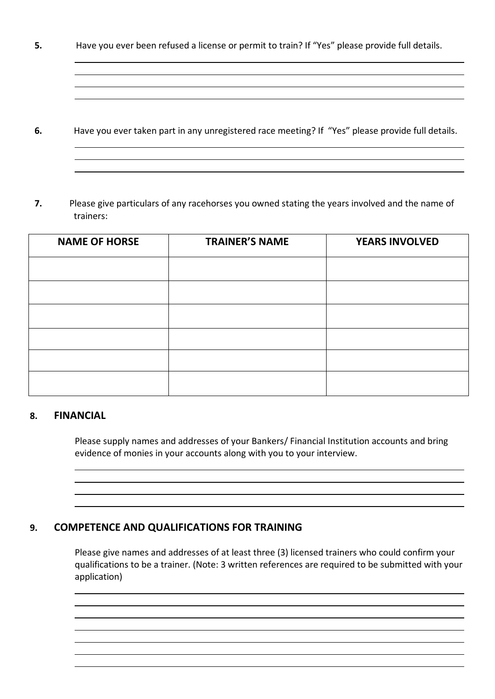**5.** Have you ever been refused a license or permit to train? If "Yes" please provide full details.

- **6.** Have you ever taken part in any unregistered race meeting? If "Yes" please provide full details.
- **7.** Please give particulars of any racehorses you owned stating the years involved and the name of trainers:

| <b>NAME OF HORSE</b> | <b>TRAINER'S NAME</b> | <b>YEARS INVOLVED</b> |
|----------------------|-----------------------|-----------------------|
|                      |                       |                       |
|                      |                       |                       |
|                      |                       |                       |
|                      |                       |                       |
|                      |                       |                       |
|                      |                       |                       |

## **8. FINANCIAL**

Please supply names and addresses of your Bankers/ Financial Institution accounts and bring evidence of monies in your accounts along with you to your interview.

## **9. COMPETENCE AND QUALIFICATIONS FOR TRAINING**

Please give names and addresses of at least three (3) licensed trainers who could confirm your qualifications to be a trainer. (Note: 3 written references are required to be submitted with your application)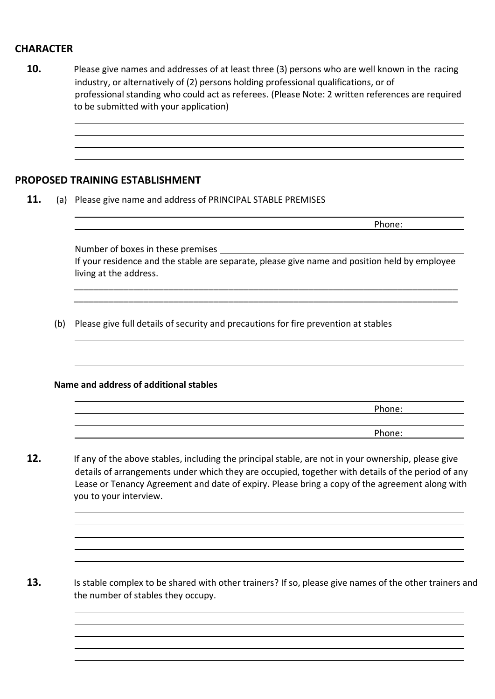# **CHARACTER**

|     | PROPOSED TRAINING ESTABLISHMENT                                                                                                                                                                                                                                                                                                      |
|-----|--------------------------------------------------------------------------------------------------------------------------------------------------------------------------------------------------------------------------------------------------------------------------------------------------------------------------------------|
|     | (a) Please give name and address of PRINCIPAL STABLE PREMISES                                                                                                                                                                                                                                                                        |
|     | Phone:                                                                                                                                                                                                                                                                                                                               |
|     |                                                                                                                                                                                                                                                                                                                                      |
|     | If your residence and the stable are separate, please give name and position held by employee<br>living at the address.                                                                                                                                                                                                              |
| (b) | Please give full details of security and precautions for fire prevention at stables                                                                                                                                                                                                                                                  |
|     | Name and address of additional stables                                                                                                                                                                                                                                                                                               |
|     | Phone:                                                                                                                                                                                                                                                                                                                               |
|     | Phone:                                                                                                                                                                                                                                                                                                                               |
|     | If any of the above stables, including the principal stable, are not in your ownership, please give<br>details of arrangements under which they are occupied, together with details of the period of any<br>Lease or Tenancy Agreement and date of expiry. Please bring a copy of the agreement along with<br>you to your interview. |
|     |                                                                                                                                                                                                                                                                                                                                      |
|     | Is stable complex to be shared with other trainers? If so, please give names of the other trainers and<br>the number of stables they occupy.                                                                                                                                                                                         |
|     |                                                                                                                                                                                                                                                                                                                                      |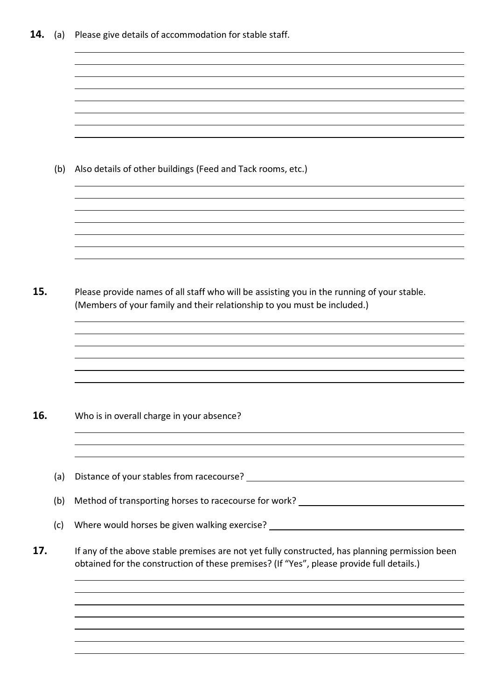|     | (b)               | Also details of other buildings (Feed and Tack rooms, etc.)                                                                                                                                  |
|-----|-------------------|----------------------------------------------------------------------------------------------------------------------------------------------------------------------------------------------|
| 15. |                   | Please provide names of all staff who will be assisting you in the running of your stable.<br>(Members of your family and their relationship to you must be included.)                       |
|     |                   |                                                                                                                                                                                              |
| 16. |                   | Who is in overall charge in your absence?                                                                                                                                                    |
|     | (a)<br>(b)<br>(c) | Method of transporting horses to racecourse for work? __________________________<br>Where would horses be given walking exercise? __________________________________                         |
| 17. |                   | If any of the above stable premises are not yet fully constructed, has planning permission been<br>obtained for the construction of these premises? (If "Yes", please provide full details.) |
|     |                   |                                                                                                                                                                                              |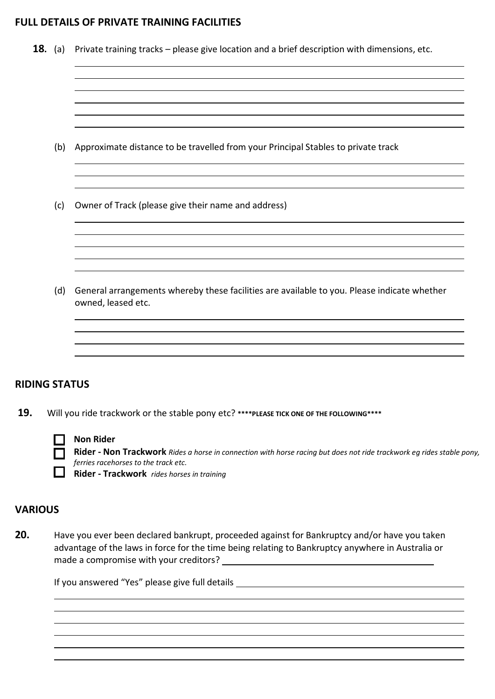## **FULL DETAILS OF PRIVATE TRAINING FACILITIES**

|     | <b>18.</b> (a) Private training tracks – please give location and a brief description with dimensions, etc.       |
|-----|-------------------------------------------------------------------------------------------------------------------|
|     |                                                                                                                   |
| (b) | Approximate distance to be travelled from your Principal Stables to private track                                 |
| (c) | Owner of Track (please give their name and address)                                                               |
| (d) | General arrangements whereby these facilities are available to you. Please indicate whether<br>owned, leased etc. |
|     |                                                                                                                   |

#### **Non Rider**

**Rider - Non Trackwork** *Rides a horse in connection with horse racing but does not ride trackwork eg rides stable pony, ferries racehorses to the track etc.*

**Rider - Trackwork** *rides horses in training*

### **VARIOUS**

**20.** Have you ever been declared bankrupt, proceeded against for Bankruptcy and/or have you taken advantage of the laws in force for the time being relating to Bankruptcy anywhere in Australia or made a compromise with your creditors?

If you answered "Yes" please give full details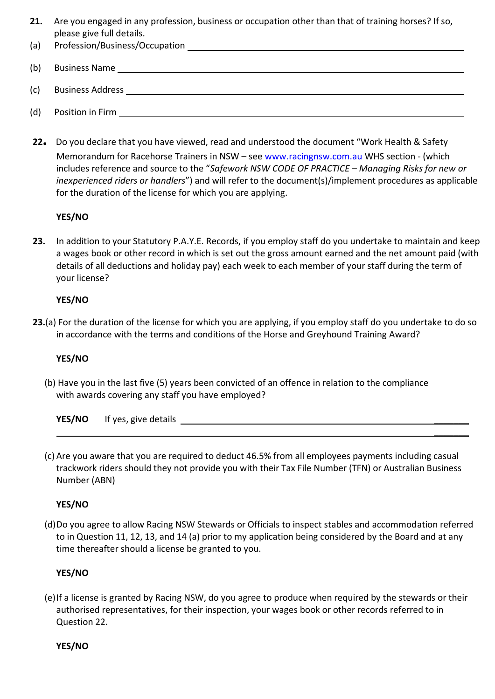- **21.** Are you engaged in any profession, business or occupation other than that of training horses? If so, please give full details.
- (a) Profession/Business/Occupation
- (b) Business Name
- (c) Business Address
- (d) Position in Firm
- **<sup>22</sup>.** Do you declare that you have viewed, read and understood the document "Work Health & Safety Memorandum for Racehorse Trainers in NSW – see [www.racingnsw.com.au](http://www.racingnsw.com.au/) WHS section - (which includes reference and source to the "*Safework NSW CODE OF PRACTICE – Managing Risks for new or inexperienced riders or handlers*") and will refer to the document(s)/implement procedures as applicable for the duration of the license for which you are applying.

## **YES/NO**

**23.** In addition to your Statutory P.A.Y.E. Records, if you employ staff do you undertake to maintain and keep a wages book or other record in which is set out the gross amount earned and the net amount paid (with details of all deductions and holiday pay) each week to each member of your staff during the term of your license?

#### **YES/NO**

**23.**(a) For the duration of the license for which you are applying, if you employ staff do you undertake to do so in accordance with the terms and conditions of the Horse and Greyhound Training Award?

#### **YES/NO**

(b) Have you in the last five (5) years been convicted of an offence in relation to the compliance with awards covering any staff you have employed?

**YES/NO** If yes, give details

(c) Are you aware that you are required to deduct 46.5% from all employees payments including casual trackwork riders should they not provide you with their Tax File Number (TFN) or Australian Business Number (ABN)

 $\overline{\phantom{a}}$ 

## **YES/NO**

(d)Do you agree to allow Racing NSW Stewards or Officials to inspect stables and accommodation referred to in Question 11, 12, 13, and 14 (a) prior to my application being considered by the Board and at any time thereafter should a license be granted to you.

## **YES/NO**

(e)If a license is granted by Racing NSW, do you agree to produce when required by the stewards or their authorised representatives, for their inspection, your wages book or other records referred to in Question 22.

**YES/NO**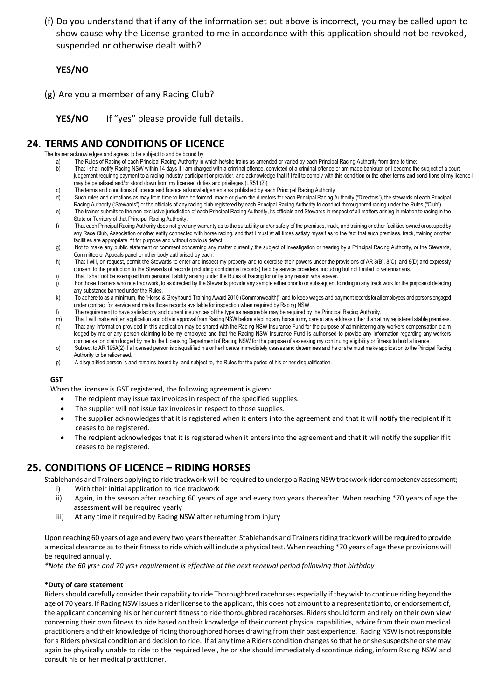(f) Do you understand that if any of the information set out above is incorrect, you may be called upon to show cause why the License granted to me in accordance with this application should not be revoked, suspended or otherwise dealt with?

#### **YES/NO**

(g) Are you a member of any Racing Club?

**YES/NO** If "yes" please provide full details.

# **24**. **TERMS AND CONDITIONS OF LICENCE**

The trainer acknowledges and agrees to be subject to and be bound by:

- a) The Rules of Racing of each Principal Racing Authority in which he/she trains as amended or varied by each Principal Racing Authority from time to time;<br>That I shall notify Racing NSW within 14 days if I am charged with
- That I shall notify Racing NSW within 14 days if I am charged with a criminal offence, convicted of a criminal offence or am made bankrupt or I become the subject of a court judgement requiring payment to a racing industry participant or provider, and acknowledge that if I fail to comply with this condition or the other terms and conditions of my licence I may be penalised and/or stood down from my licensed duties and privileges (LR51 (2))
- c) The terms and conditions of licence and licence acknowledgements as published by each Principal Racing Authority
- d) Such rules and directions as may from time to time be formed, made or given the directors for each Principal Racing Authority ("Directors"), the stewards of each Principal
- Racing Authority ("Stewards") or the officials of any racing club registered by each Principal Racing Authority to conduct thoroughbred racing under the Rules ("Club") e) The trainer submits to the non-exclusive jurisdiction of each Principal Racing Authority, its officials and Stewards in respect of all matters arising in relation to racing in the State or Territory of that Principal Racing Authority.
- f) That each Principal Racing Authority does not give any warranty as to the suitability and/or safety of the premises, track, and training or other facilities owned or occupied by any Race Club, Association or other entity connected with horse racing, and that I must at all times satisfy myself as to the fact that such premises, track, training or other facilities are appropriate, fit for purpose and without obvious defect.
- g) Not to make any public statement or comment concerning any matter currently the subject of investigation or hearing by a Principal Racing Authority, or the Stewards, Committee or Appeals panel or other body authorised by each.
- h) That I will, on request, permit the Stewards to enter and inspect my property and to exercise their powers under the provisions of AR 8(B), 8(C), and 8(D) and expressly consent to the production to the Stewards of records (including confidential records) held by service providers, including but not limited to veterinarians.
- i) That I shall not be exempted from personal liability arising under the Rules of Racing for or by any reason whatsoever.
- j) For those Trainers who ride trackwork, to as directed by the Stewards provide any sample either prior to or subsequent to riding in any track work for the purpose of detecting any substance banned under the Rules.
- k) To adhere to as a minimum, the "Horse & Greyhound Training Award 2010 (Commonwealth)", and to keep wages and payment records for all employees and persons engaged under contract for service and make those records available for inspection when required by Racing NSW.
- l) The requirement to have satisfactory and current insurances of the type as reasonable may be required by the Principal Racing Authority.
- m) That I will make written application and obtain approval from Racing NSW before stabling any horse in my care at any address other than at my registered stable premises. n) That any information provided in this application may be shared with the Racing NSW Insurance Fund for the purpose of administering any workers compensation claim lodged by me or any person claiming to be my employee and that the Racing NSW Insurance Fund is authorised to provide any information regarding any workers
- compensation claim lodged by me to the Licensing Department of Racing NSW for the purpose of assessing my continuing eligibility or fitness to hold a licence. o) Subject to AR.195A(2) if a licensed person is disqualified his or her licence immediately ceases and determines and he or she must make application to the Principal Racing
- Authority to be relicensed. p) A disqualified person is and remains bound by, and subject to, the Rules for the period of his or her disqualification.

#### **GST**

When the licensee is GST registered, the following agreement is given:

- The recipient may issue tax invoices in respect of the specified supplies.
- The supplier will not issue tax invoices in respect to those supplies.
- The supplier acknowledges that it is registered when it enters into the agreement and that it will notify the recipient if it ceases to be registered.
- The recipient acknowledges that it is registered when it enters into the agreement and that it will notify the supplier if it ceases to be registered.

# **25. CONDITIONS OF LICENCE – RIDING HORSES**

Stablehands and Trainers applying to ride trackwork will be required to undergo a Racing NSW trackwork rider competency assessment; i) With their initial application to ride trackwork

- ii) Again, in the season after reaching 60 years of age and every two years thereafter. When reaching \*70 years of age the assessment will be required yearly
- iii) At any time if required by Racing NSW after returning from injury

Upon reaching 60 years of age and every two years thereafter, Stablehands and Trainers riding trackwork will be required to provide a medical clearance as to their fitness to ride which will include a physical test. When reaching \*70 years of age these provisions will be required annually.

*\*Note the 60 yrs+ and 70 yrs+ requirement is effective at the next renewal period following that birthday*

#### **\*Duty of care statement**

Riders should carefully consider their capability to ride Thoroughbred racehorses especially if they wish to continue riding beyond the age of 70 years. If Racing NSW issues a rider license to the applicant, this does not amount to a representation to, or endorsement of, the applicant concerning his or her current fitness to ride thoroughbred racehorses. Riders should form and rely on their own view concerning their own fitness to ride based on their knowledge of their current physical capabilities, advice from their own medical practitioners and their knowledge of riding thoroughbred horses drawing from their past experience. Racing NSW is not responsible for a Riders physical condition and decision to ride. If at any time a Riders condition changes so that he or she suspects he or she may again be physically unable to ride to the required level, he or she should immediately discontinue riding, inform Racing NSW and consult his or her medical practitioner.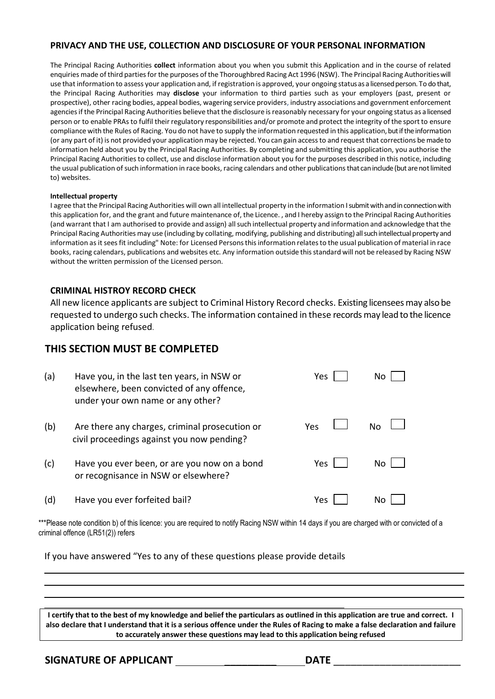#### **PRIVACY AND THE USE, COLLECTION AND DISCLOSURE OF YOUR PERSONAL INFORMATION**

The Principal Racing Authorities **collect** information about you when you submit this Application and in the course of related enquiries made of third parties for the purposes of the Thoroughbred Racing Act 1996 (NSW). The Principal Racing Authorities will use that information to assess your application and, if registration is approved, your ongoing status as a licensed person. To do that, the Principal Racing Authorities may **disclose** your information to third parties such as your employers (past, present or prospective), other racing bodies, appeal bodies, wagering service providers, industry associations and government enforcement agencies if the Principal Racing Authorities believe that the disclosure is reasonably necessary for your ongoing status as a licensed person or to enable PRAs to fulfil their regulatory responsibilities and/or promote and protect the integrity of the sport to ensure compliance with the Rules of Racing. You do not have to supply the information requested in this application, but if the information (or any part of it) is not provided your application may be rejected. You can gain access to and request that corrections be made to information held about you by the Principal Racing Authorities. By completing and submitting this application, you authorise the Principal Racing Authorities to collect, use and disclose information about you for the purposes described in this notice, including the usual publication of such information in race books, racing calendars and other publications that can include (but are not limited to) websites.

#### **Intellectual property**

I agree that the Principal Racing Authorities will own all intellectual property in the information I submit with and in connection with this application for, and the grant and future maintenance of, the Licence. , and I hereby assign to the Principal Racing Authorities (and warrant that I am authorised to provide and assign) all such intellectual property and information and acknowledge that the Principal Racing Authorities may use (including by collating, modifying, publishing and distributing) all such intellectual property and information as it sees fit including" Note: for Licensed Persons this information relates to the usual publication of material in race books, racing calendars, publications and websites etc. Any information outside this standard will not be released by Racing NSW without the written permission of the Licensed person.

#### **CRIMINAL HISTROY RECORD CHECK**

All new licence applicants are subject to Criminal History Record checks. Existing licensees may also be requested to undergo such checks. The information contained in these records may lead to the licence application being refused.

## **THIS SECTION MUST BE COMPLETED**

| (a) | Have you, in the last ten years, in NSW or<br>elsewhere, been convicted of any offence,<br>under your own name or any other? | Yes | No. |
|-----|------------------------------------------------------------------------------------------------------------------------------|-----|-----|
| (b) | Are there any charges, criminal prosecution or<br>civil proceedings against you now pending?                                 | Yes | No  |
| (c) | Have you ever been, or are you now on a bond<br>or recognisance in NSW or elsewhere?                                         | Yes | No. |
| (d) | Have you ever forfeited bail?                                                                                                | Yes | Nο  |

\*\*\*Please note condition b) of this licence: you are required to notify Racing NSW within 14 days if you are charged with or convicted of a criminal offence (LR51(2)) refers

If you have answered "Yes to any of these questions please provide details

**I certify that to the best of my knowledge and belief the particulars as outlined in this application are true and correct. I also declare that I understand that it is a serious offence under the Rules of Racing to make a false declaration and failure to accurately answer these questions may lead to this application being refused**

**SIGNATURE OF APPLICANT** \_\_\_\_\_\_\_\_\_ **DATE** \_\_\_\_\_\_\_\_\_\_\_\_\_\_\_\_\_\_\_\_\_\_